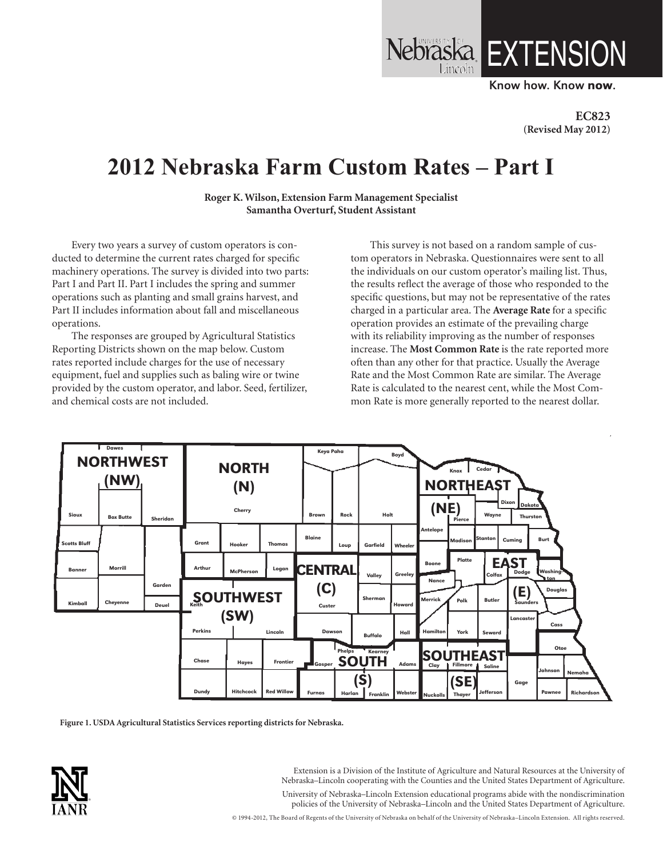Know how. Know now.

LX LENSION

**EC823 (Revised May 2012)**

# **2012 Nebraska Farm Custom Rates – Part I**

**Roger K. Wilson, Extension Farm Management Specialist Samantha Overturf, Student Assistant**

Every two years a survey of custom operators is conducted to determine the current rates charged for specific machinery operations. The survey is divided into two parts: Part I and Part II. Part I includes the spring and summer operations such as planting and small grains harvest, and Part II includes information about fall and miscellaneous operations.

The responses are grouped by Agricultural Statistics Reporting Districts shown on the map below. Custom rates reported include charges for the use of necessary equipment, fuel and supplies such as baling wire or twine provided by the custom operator, and labor. Seed, fertilizer, and chemical costs are not included.

This survey is not based on a random sample of custom operators in Nebraska. Questionnaires were sent to all the individuals on our custom operator's mailing list. Thus, the results reflect the average of those who responded to the specific questions, but may not be representative of the rates charged in a particular area. The **Average Rate** for a specific operation provides an estimate of the prevailing charge with its reliability improving as the number of responses increase. The **Most Common Rate** is the rate reported more often than any other for that practice. Usually the Average Rate and the Most Common Rate are similar. The Average Rate is calculated to the nearest cent, while the Most Common Rate is more generally reported to the nearest dollar.



**Figure 1. USDA Agricultural Statistics Services reporting districts for Nebraska.**



Extension is a Division of the Institute of Agriculture and Natural Resources at the University of Nebraska–Lincoln cooperating with the Counties and the United States Department of Agriculture. University of Nebraska–Lincoln Extension educational programs abide with the nondiscrimination policies of the University of Nebraska–Lincoln and the United States Department of Agriculture.

© 1994-2012, The Board of Regents of the University of Nebraska on behalf of the University of Nebraska–Lincoln Extension. All rights reserved.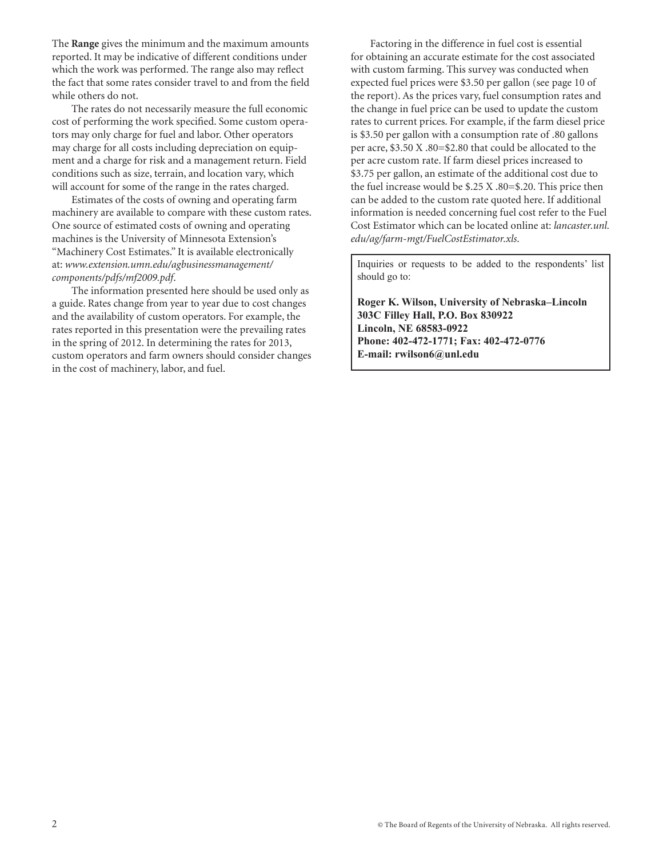The **Range** gives the minimum and the maximum amounts reported. It may be indicative of different conditions under which the work was performed. The range also may reflect the fact that some rates consider travel to and from the field while others do not.

The rates do not necessarily measure the full economic cost of performing the work specified. Some custom operators may only charge for fuel and labor. Other operators may charge for all costs including depreciation on equipment and a charge for risk and a management return. Field conditions such as size, terrain, and location vary, which will account for some of the range in the rates charged.

Estimates of the costs of owning and operating farm machinery are available to compare with these custom rates. One source of estimated costs of owning and operating machines is the University of Minnesota Extension's "Machinery Cost Estimates." It is available electronically at: *www.extension.umn.edu/agbusinessmanagement/ components/pdfs/mf2009.pdf*.

The information presented here should be used only as a guide. Rates change from year to year due to cost changes and the availability of custom operators. For example, the rates reported in this presentation were the prevailing rates in the spring of 2012. In determining the rates for 2013, custom operators and farm owners should consider changes in the cost of machinery, labor, and fuel.

Factoring in the difference in fuel cost is essential for obtaining an accurate estimate for the cost associated with custom farming. This survey was conducted when expected fuel prices were \$3.50 per gallon (see page 10 of the report). As the prices vary, fuel consumption rates and the change in fuel price can be used to update the custom rates to current prices. For example, if the farm diesel price is \$3.50 per gallon with a consumption rate of .80 gallons per acre, \$3.50 X .80=\$2.80 that could be allocated to the per acre custom rate. If farm diesel prices increased to \$3.75 per gallon, an estimate of the additional cost due to the fuel increase would be \$.25 X .80=\$.20. This price then can be added to the custom rate quoted here. If additional information is needed concerning fuel cost refer to the Fuel Cost Estimator which can be located online at: *lancaster.unl. edu/ag/farm-mgt/FuelCostEstimator.xls*.

Inquiries or requests to be added to the respondents' list should go to:

**Roger K. Wilson, University of Nebraska–Lincoln 303C Filley Hall, P.O. Box 830922 Lincoln, NE 68583-0922 Phone: 402-472-1771; Fax: 402-472-0776 E-mail: rwilson6@unl.edu**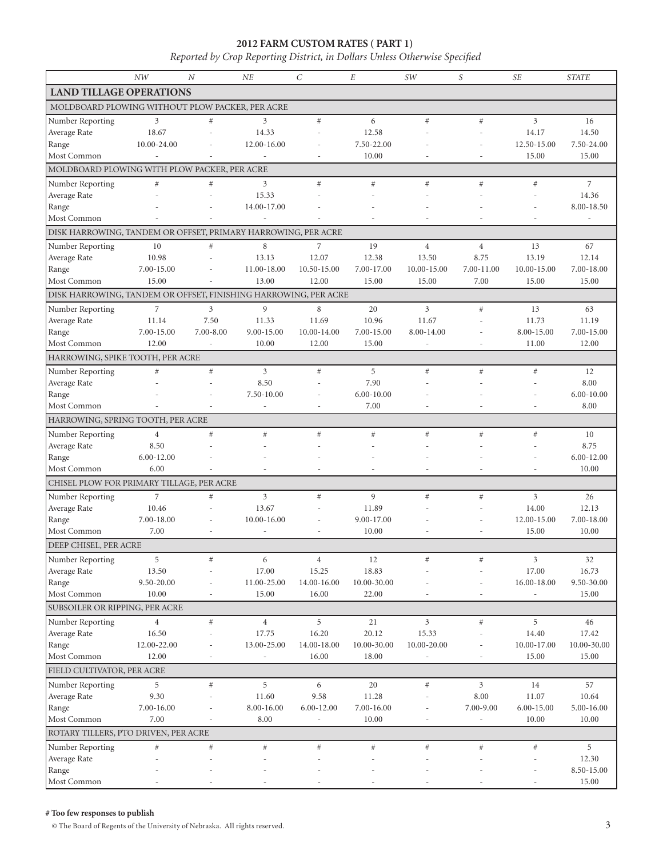## **2012 FARM CUSTOM RATES ( PART 1)**

*Reported by Crop Reporting District, in Dollars Unless Otherwise Specified*

|                                                                 | NW                     | $\overline{N}$           | NE                       | $\mathcal{C}$  | $\cal E$        | SW                       | $\boldsymbol{S}$         | <b>SE</b>      | <b>STATE</b>       |
|-----------------------------------------------------------------|------------------------|--------------------------|--------------------------|----------------|-----------------|--------------------------|--------------------------|----------------|--------------------|
| <b>LAND TILLAGE OPERATIONS</b>                                  |                        |                          |                          |                |                 |                          |                          |                |                    |
| MOLDBOARD PLOWING WITHOUT PLOW PACKER, PER ACRE                 |                        |                          |                          |                |                 |                          |                          |                |                    |
| Number Reporting                                                | 3                      | #                        | 3                        | $#$            | 6               | #                        | #                        | $\overline{3}$ | 16                 |
| Average Rate                                                    | 18.67                  |                          | 14.33                    |                | 12.58           |                          |                          | 14.17          | 14.50              |
| Range                                                           | 10.00-24.00            |                          | 12.00-16.00              |                | 7.50-22.00      |                          |                          | 12.50-15.00    | 7.50-24.00         |
| Most Common                                                     | ÷,                     |                          | $\overline{\phantom{a}}$ | $\overline{a}$ | 10.00           |                          | ٠                        | 15.00          | 15.00              |
| MOLDBOARD PLOWING WITH PLOW PACKER, PER ACRE                    |                        |                          |                          |                |                 |                          |                          |                |                    |
| Number Reporting                                                | $\#$                   | #                        | 3                        | #              | #               | #                        | #                        | #              | $\overline{7}$     |
| Average Rate                                                    |                        |                          | 15.33                    |                |                 |                          |                          |                | 14.36              |
| Range<br>Most Common                                            |                        |                          | 14.00-17.00              |                |                 |                          |                          |                | 8.00-18.50         |
| DISK HARROWING, TANDEM OR OFFSET, PRIMARY HARROWING, PER ACRE   |                        |                          |                          |                |                 |                          |                          |                |                    |
| Number Reporting                                                | 10                     | #                        | 8                        | $\overline{7}$ | 19              | $\overline{4}$           | $\overline{4}$           | 13             | 67                 |
| Average Rate                                                    | 10.98                  |                          | 13.13                    | 12.07          | 12.38           | 13.50                    | 8.75                     | 13.19          | 12.14              |
| Range                                                           | 7.00-15.00             |                          | 11.00-18.00              | 10.50-15.00    | 7.00-17.00      | 10.00-15.00              | 7.00-11.00               | 10.00-15.00    | 7.00-18.00         |
| Most Common                                                     | 15.00                  |                          | 13.00                    | 12.00          | 15.00           | 15.00                    | 7.00                     | 15.00          | 15.00              |
| DISK HARROWING, TANDEM OR OFFSET, FINISHING HARROWING, PER ACRE |                        |                          |                          |                |                 |                          |                          |                |                    |
| Number Reporting                                                | $\overline{7}$         | 3                        | 9                        | 8              | 20              | 3                        | #                        | 13             | 63                 |
| Average Rate                                                    | 11.14                  | 7.50                     | 11.33                    | 11.69          | 10.96           | 11.67                    |                          | 11.73          | 11.19              |
| Range                                                           | 7.00-15.00             | $7.00 - 8.00$            | 9.00-15.00               | 10.00-14.00    | 7.00-15.00      | 8.00-14.00               |                          | 8.00-15.00     | 7.00-15.00         |
| Most Common                                                     | 12.00                  | $\overline{\phantom{a}}$ | 10.00                    | 12.00          | 15.00           | $\overline{\phantom{a}}$ |                          | 11.00          | 12.00              |
| HARROWING, SPIKE TOOTH, PER ACRE                                |                        |                          |                          |                |                 |                          |                          |                |                    |
| Number Reporting                                                | #                      | #                        | $\overline{3}$           | $#$            | 5               | $\#$                     | #                        | #              | 12                 |
| Average Rate                                                    |                        |                          | 8.50                     |                | 7.90            |                          |                          |                | 8.00               |
| Range                                                           |                        |                          | 7.50-10.00               |                | $6.00 - 10.00$  |                          |                          |                | $6.00 - 10.00$     |
| Most Common                                                     |                        |                          | ÷,                       |                | 7.00            |                          |                          |                | 8.00               |
| HARROWING, SPRING TOOTH, PER ACRE                               |                        |                          |                          |                |                 |                          |                          |                |                    |
| Number Reporting                                                | $\overline{4}$         | #                        | #                        | #              | #               | $\#$                     | #                        | #              | 10                 |
| Average Rate                                                    | 8.50<br>$6.00 - 12.00$ |                          |                          |                |                 |                          |                          |                | 8.75<br>6.00-12.00 |
| Range<br>Most Common                                            | 6.00                   |                          |                          |                |                 |                          |                          |                | 10.00              |
| CHISEL PLOW FOR PRIMARY TILLAGE, PER ACRE                       |                        |                          |                          |                |                 |                          |                          |                |                    |
| Number Reporting                                                | $\overline{7}$         | #                        | $\overline{3}$           | $#$            | 9               | #                        | #                        | 3              | 26                 |
| Average Rate                                                    | 10.46                  |                          | 13.67                    |                | 11.89           |                          |                          | 14.00          | 12.13              |
| Range                                                           | 7.00-18.00             | $\overline{a}$           | 10.00-16.00              |                | 9.00-17.00      |                          |                          | 12.00-15.00    | 7.00-18.00         |
| Most Common                                                     | 7.00                   |                          | $\overline{a}$           |                | 10.00           |                          |                          | 15.00          | 10.00              |
| DEEP CHISEL, PER ACRE                                           |                        |                          |                          |                |                 |                          |                          |                |                    |
| Number Reporting                                                | 5                      | $\#$                     | 6                        | $\overline{4}$ | $12\,$          | #                        | $\#$                     | 3              | 32                 |
| Average Rate                                                    | 13.50                  |                          | 17.00                    | 15.25          | 18.83           |                          |                          | 17.00          | 16.73              |
| Range                                                           | 9.50-20.00             |                          | 11.00-25.00              | 14.00-16.00    | $10.00 - 30.00$ |                          |                          | 16.00-18.00    | 9.50-30.00         |
| Most Common                                                     | 10.00                  | $\overline{\phantom{a}}$ | 15.00                    | 16.00          | 22.00           |                          |                          |                | 15.00              |
| SUBSOILER OR RIPPING, PER ACRE                                  |                        |                          |                          |                |                 |                          |                          |                |                    |
| Number Reporting                                                | $\overline{4}$         | $\#$                     | $\overline{4}$           | 5              | 21              | 3                        | $\#$                     | 5              | 46                 |
| Average Rate                                                    | 16.50                  |                          | 17.75                    | 16.20          | 20.12           | 15.33                    |                          | 14.40          | 17.42              |
| Range<br>Most Common                                            | 12.00-22.00            |                          | 13.00-25.00              | 14.00-18.00    | 10.00-30.00     | 10.00-20.00              | $\overline{\phantom{a}}$ | 10.00-17.00    | 10.00-30.00        |
| FIELD CULTIVATOR, PER ACRE                                      | 12.00                  |                          | ÷,                       | 16.00          | 18.00           |                          |                          | 15.00          | 15.00              |
|                                                                 | 5                      | $\#$                     | 5                        | 6              | 20              | $\#$                     | $\mathfrak{Z}$           | 14             | 57                 |
| Number Reporting<br>Average Rate                                | 9.30                   |                          | 11.60                    | 9.58           | 11.28           |                          | 8.00                     | 11.07          | 10.64              |
| Range                                                           | 7.00-16.00             |                          | 8.00-16.00               | 6.00-12.00     | 7.00-16.00      |                          | 7.00-9.00                | 6.00-15.00     | 5.00-16.00         |
| Most Common                                                     | 7.00                   |                          | 8.00                     |                | 10.00           |                          |                          | 10.00          | 10.00              |
| ROTARY TILLERS, PTO DRIVEN, PER ACRE                            |                        |                          |                          |                |                 |                          |                          |                |                    |
| Number Reporting                                                | $\#$                   | $\#$                     | $\#$                     | $\#$           | $\#$            | #                        | #                        | $\#$           | 5                  |
| Average Rate                                                    |                        |                          |                          |                |                 |                          |                          |                | 12.30              |
| Range                                                           |                        |                          |                          |                |                 |                          |                          |                | 8.50-15.00         |
| Most Common                                                     |                        |                          |                          |                |                 |                          |                          |                | 15.00              |

#### **# Too few responses to publish**

 $\odot$  The Board of Regents of the University of Nebraska. All rights reserved.  $3$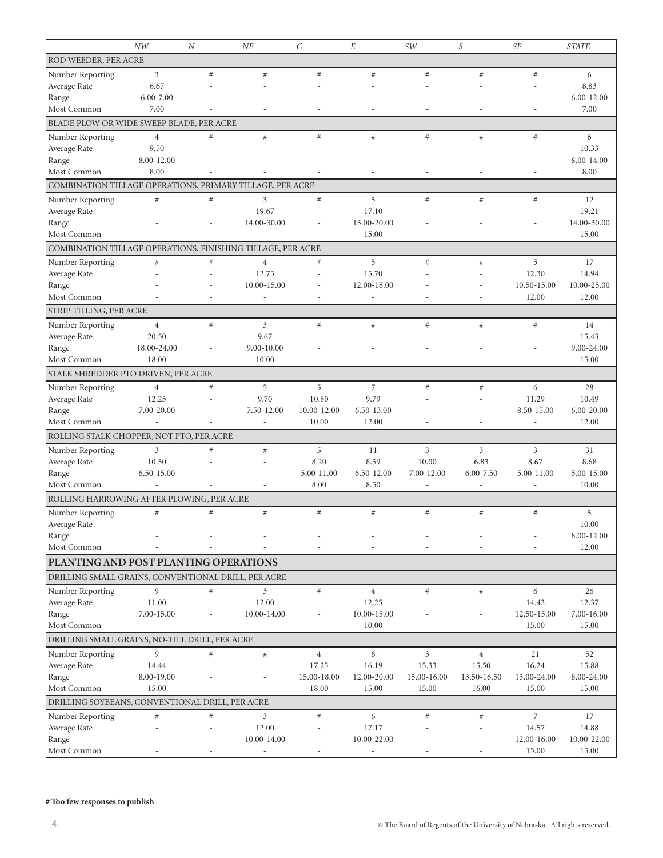|                                                             | NW                      | $\boldsymbol{N}$ | NE                           | $\mathcal{C}$  | E                        | SW          | $\boldsymbol{S}$ | <b>SE</b>                | <b>STATE</b>         |
|-------------------------------------------------------------|-------------------------|------------------|------------------------------|----------------|--------------------------|-------------|------------------|--------------------------|----------------------|
| <b>ROD WEEDER, PER ACRE</b>                                 |                         |                  |                              |                |                          |             |                  |                          |                      |
| Number Reporting                                            | $\mathfrak{Z}$          | #                | $\#$                         | #              | #                        | $\#$        | #                | #                        | 6                    |
| Average Rate                                                | 6.67                    |                  |                              |                |                          |             |                  |                          | 8.83                 |
| Range                                                       | $6.00 - 7.00$           |                  |                              |                |                          |             |                  |                          | 6.00-12.00           |
| Most Common                                                 | 7.00                    |                  |                              |                |                          |             |                  |                          | 7.00                 |
| BLADE PLOW OR WIDE SWEEP BLADE, PER ACRE                    |                         |                  |                              |                |                          |             |                  |                          |                      |
| Number Reporting                                            | $\overline{4}$          | #                | $\#$                         | $\#$           | #                        | $\#$        | #                | $\#$                     | 6                    |
| Average Rate                                                | 9.50                    |                  |                              |                |                          |             |                  |                          | 10.33                |
| Range                                                       | 8.00-12.00              |                  |                              |                |                          |             |                  |                          | 8.00-14.00           |
| Most Common                                                 | 8.00                    |                  |                              |                |                          |             |                  |                          | 8.00                 |
| COMBINATION TILLAGE OPERATIONS, PRIMARY TILLAGE, PER ACRE   |                         |                  |                              |                |                          |             |                  |                          |                      |
| Number Reporting                                            | #                       | #                | 3                            | $#$            | 5                        | $\#$        | #                | $\#$                     | 12                   |
| Average Rate                                                |                         |                  | 19.67                        |                | 17.10                    |             |                  |                          | 19.21                |
| Range                                                       |                         |                  | 14.00-30.00                  |                | 15.00-20.00              |             |                  |                          | 14.00-30.00          |
| Most Common                                                 |                         |                  |                              |                | 15.00                    |             |                  |                          | 15.00                |
| COMBINATION TILLAGE OPERATIONS, FINISHING TILLAGE, PER ACRE |                         |                  |                              |                |                          |             |                  |                          |                      |
| Number Reporting                                            | $\#$                    | $\#$             | $\overline{4}$               | #              | 5                        | $\#$        | #                | 5                        | 17                   |
| Average Rate                                                |                         |                  | 12.75<br>10.00-15.00         |                | 15.70                    |             |                  | 12.30                    | 14.94<br>10.00-25.00 |
| Range<br>Most Common                                        |                         |                  | ٠                            |                | 12.00-18.00              |             |                  | 10.50-15.00<br>12.00     | 12.00                |
| STRIP TILLING, PER ACRE                                     |                         |                  |                              |                |                          |             |                  |                          |                      |
|                                                             |                         |                  |                              |                |                          |             |                  |                          |                      |
| Number Reporting<br>Average Rate                            | $\overline{4}$<br>20.50 | #                | 3<br>9.67                    | #              | #                        | $\#$        | $\#$             | $\#$                     | 14<br>15.43          |
| Range                                                       | 18.00-24.00             |                  | 9.00-10.00                   |                |                          |             |                  |                          | 9.00-24.00           |
| Most Common                                                 | 18.00                   |                  | 10.00                        |                |                          |             |                  |                          | 15.00                |
| STALK SHREDDER PTO DRIVEN, PER ACRE                         |                         |                  |                              |                |                          |             |                  |                          |                      |
| Number Reporting                                            | $\overline{4}$          | #                | 5                            | 5              | $\overline{7}$           | $\#$        | $\#$             | 6                        | 28                   |
| Average Rate                                                | 12.25                   |                  | 9.70                         | 10.80          | 9.79                     |             |                  | 11.29                    | 10.49                |
| Range                                                       | 7.00-20.00              |                  | 7.50-12.00                   | 10.00-12.00    | 6.50-13.00               |             |                  | 8.50-15.00               | 6.00-20.00           |
| Most Common                                                 |                         |                  |                              | 10.00          | 12.00                    |             |                  | $\overline{\phantom{a}}$ | 12.00                |
| ROLLING STALK CHOPPER, NOT PTO, PER ACRE                    |                         |                  |                              |                |                          |             |                  |                          |                      |
| Number Reporting                                            | 3                       | #                | $\#$                         | 5              | 11                       | 3           | $\mathfrak{Z}$   | 3                        | 31                   |
| Average Rate                                                | 10.50                   |                  |                              | 8.20           | 8.59                     | 10.00       | 6.83             | 8.67                     | 8.68                 |
| Range                                                       | 6.50-15.00              |                  |                              | 5.00-11.00     | 6.50-12.00               | 7.00-12.00  | $6.00 - 7.50$    | 5.00-11.00               | 5.00-15.00           |
| Most Common                                                 |                         |                  |                              | 8.00           | 8.50                     |             |                  |                          | 10.00                |
| ROLLING HARROWING AFTER PLOWING, PER ACRE                   |                         |                  |                              |                |                          |             |                  |                          |                      |
| Number Reporting                                            | $\#$                    | #                | $\#$                         | #              | $#$                      | $\#$        | #                | $\#$                     | 5                    |
| Average Rate                                                |                         |                  |                              |                |                          |             |                  |                          | $10.00\,$            |
| Range                                                       |                         |                  |                              |                |                          |             |                  |                          | 8.00-12.00           |
| Most Common                                                 |                         |                  |                              |                |                          |             |                  |                          | 12.00                |
| PLANTING AND POST PLANTING OPERATIONS                       |                         |                  |                              |                |                          |             |                  |                          |                      |
| DRILLING SMALL GRAINS, CONVENTIONAL DRILL, PER ACRE         |                         |                  |                              |                |                          |             |                  |                          |                      |
| Number Reporting                                            | 9                       | $\#$             | 3                            | $\#$           | $\overline{4}$           | $\#$        | $\#$             | 6                        | 26                   |
| Average Rate                                                | 11.00                   |                  | 12.00                        |                | 12.25                    |             |                  | 14.42                    | 12.37                |
| Range                                                       | 7.00-15.00              |                  | 10.00-14.00                  |                | 10.00-15.00              |             |                  | 12.50-15.00              | 7.00-16.00           |
| Most Common                                                 |                         |                  | $\qquad \qquad \blacksquare$ |                | 10.00                    |             |                  | 15.00                    | 15.00                |
| DRILLING SMALL GRAINS, NO-TILL DRILL, PER ACRE              |                         |                  |                              |                |                          |             |                  |                          |                      |
| Number Reporting                                            | 9                       | #                | $\#$                         | $\overline{4}$ | 8                        | 3           | $\,4\,$          | 21                       | 52                   |
| Average Rate                                                | 14.44                   |                  |                              | 17.25          | 16.19                    | 15.33       | 15.50            | 16.24                    | 15.88                |
| Range                                                       | 8.00-19.00              |                  |                              | 15.00-18.00    | 12.00-20.00              | 15.00-16.00 | 13.50-16.50      | 13.00-24.00              | 8.00-24.00           |
| Most Common                                                 | 15.00                   |                  |                              | 18.00          | 15.00                    | 15.00       | 16.00            | 15.00                    | 15.00                |
| DRILLING SOYBEANS, CONVENTIONAL DRILL, PER ACRE             |                         |                  |                              |                |                          |             |                  |                          |                      |
| Number Reporting                                            | $\#$                    | $\#$             | 3                            | $\#$           | 6                        | $\#$        | $\#$             | 7                        | 17                   |
| Average Rate                                                |                         |                  | 12.00                        |                | 17.17                    |             |                  | 14.57                    | 14.88                |
| Range<br>Most Common                                        |                         |                  | 10.00-14.00                  |                | 10.00-22.00              |             |                  | 12.00-16.00              | 10.00-22.00          |
|                                                             |                         |                  | $\overline{\phantom{a}}$     |                | $\overline{\phantom{a}}$ |             |                  | 15.00                    | 15.00                |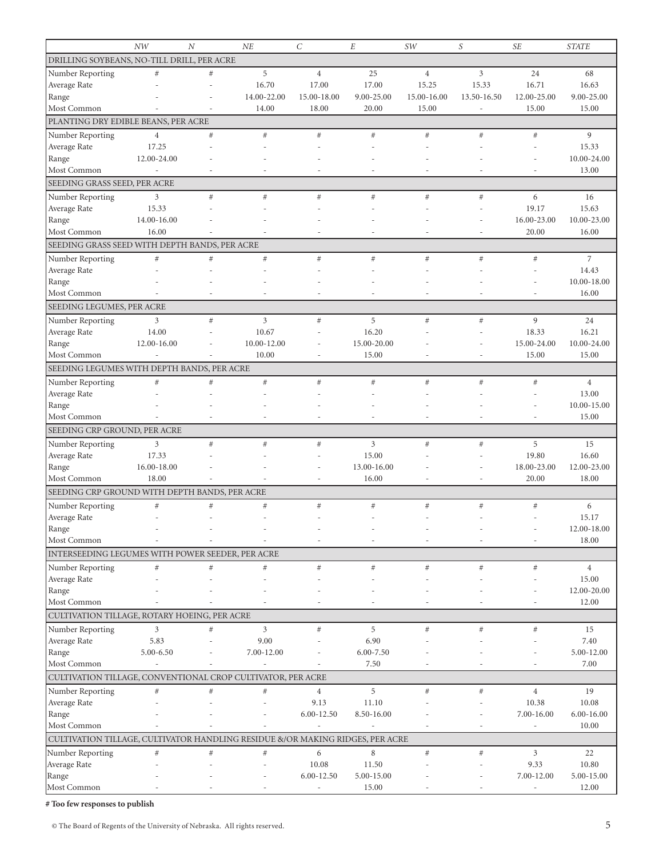|                                                                               | NW             | $\overline{N}$ | NE                       | $\cal C$                 | $\cal E$      | SW          | S                        | <b>SE</b>                | <b>STATE</b>         |
|-------------------------------------------------------------------------------|----------------|----------------|--------------------------|--------------------------|---------------|-------------|--------------------------|--------------------------|----------------------|
| DRILLING SOYBEANS, NO-TILL DRILL, PER ACRE                                    |                |                |                          |                          |               |             |                          |                          |                      |
| Number Reporting                                                              | $\#$           | #              | 5                        | $\overline{4}$           | 25            | $\,4\,$     | 3                        | 24                       | 68                   |
| Average Rate                                                                  |                | $\overline{a}$ | 16.70                    | 17.00                    | 17.00         | 15.25       | 15.33                    | 16.71                    | 16.63                |
| Range                                                                         |                |                | 14.00-22.00              | 15.00-18.00              | 9.00-25.00    | 15.00-16.00 | 13.50-16.50              | 12.00-25.00              | 9.00-25.00           |
| Most Common                                                                   |                | ÷.             | 14.00                    | 18.00                    | 20.00         | 15.00       | $\overline{a}$           | 15.00                    | 15.00                |
| PLANTING DRY EDIBLE BEANS, PER ACRE                                           |                |                |                          |                          |               |             |                          |                          |                      |
| Number Reporting                                                              | $\overline{4}$ | #              | #                        | #                        | $#$           | $\#$        | #                        | #                        | 9                    |
| Average Rate                                                                  | 17.25          |                |                          |                          |               |             |                          |                          | 15.33                |
| Range                                                                         | 12.00-24.00    |                |                          |                          |               |             |                          |                          | 10.00-24.00          |
| Most Common                                                                   | ÷,             |                |                          |                          |               |             |                          | $\overline{a}$           | 13.00                |
| SEEDING GRASS SEED, PER ACRE                                                  |                |                |                          |                          |               |             |                          |                          |                      |
|                                                                               |                | #              | #                        | #                        | #             | $\#$        |                          | 6                        |                      |
| Number Reporting                                                              | 3<br>15.33     |                |                          |                          |               |             | $_{\#}$                  | 19.17                    | 16<br>15.63          |
| Average Rate<br>Range                                                         | 14.00-16.00    |                |                          |                          |               |             |                          | 16.00-23.00              | 10.00-23.00          |
| Most Common                                                                   | 16.00          |                |                          |                          |               |             | $\overline{\phantom{a}}$ | 20.00                    | 16.00                |
| SEEDING GRASS SEED WITH DEPTH BANDS, PER ACRE                                 |                |                |                          |                          |               |             |                          |                          |                      |
|                                                                               |                |                |                          |                          |               |             |                          |                          |                      |
| Number Reporting                                                              | $\#$           | #              | $\#$                     | #                        | $\#$          | $\#$        | #                        | #                        | $\overline{7}$       |
| Average Rate                                                                  |                |                |                          |                          |               |             |                          |                          | 14.43                |
| Range<br>Most Common                                                          |                |                |                          |                          |               |             |                          |                          | 10.00-18.00<br>16.00 |
|                                                                               |                |                |                          |                          |               |             |                          |                          |                      |
| SEEDING LEGUMES, PER ACRE                                                     |                |                |                          |                          |               |             |                          |                          |                      |
| Number Reporting                                                              | 3              | #              | $\mathfrak{Z}$           | #                        | 5             | #           | #                        | 9                        | 24                   |
| Average Rate                                                                  | 14.00          |                | 10.67                    |                          | 16.20         |             |                          | 18.33                    | 16.21                |
| Range                                                                         | 12.00-16.00    |                | 10.00-12.00              |                          | 15.00-20.00   |             |                          | 15.00-24.00              | 10.00-24.00          |
| Most Common                                                                   | $\overline{a}$ |                | 10.00                    | $\overline{a}$           | 15.00         | L,          | ٠                        | 15.00                    | 15.00                |
| SEEDING LEGUMES WITH DEPTH BANDS, PER ACRE                                    |                |                |                          |                          |               |             |                          |                          |                      |
| Number Reporting                                                              | $\#$           | #              | #                        | #                        | $#$           | $\#$        | #                        | #                        | $\overline{4}$       |
| Average Rate                                                                  |                |                |                          |                          |               |             |                          |                          | 13.00                |
| Range                                                                         |                |                |                          |                          |               |             |                          |                          | 10.00-15.00          |
| Most Common                                                                   |                |                |                          |                          |               |             |                          | ÷.                       | 15.00                |
| SEEDING CRP GROUND, PER ACRE                                                  |                |                |                          |                          |               |             |                          |                          |                      |
| Number Reporting                                                              | 3              | #              | #                        | #                        | 3             | #           | #                        | 5                        | 15                   |
| Average Rate                                                                  | 17.33          |                |                          |                          | 15.00         |             |                          | 19.80                    | 16.60                |
| Range                                                                         | 16.00-18.00    |                |                          |                          | 13.00-16.00   |             |                          | 18.00-23.00              | 12.00-23.00          |
| Most Common                                                                   | 18.00          |                |                          | ٠                        | 16.00         | ٠           | $\overline{\phantom{a}}$ | 20.00                    | 18.00                |
| SEEDING CRP GROUND WITH DEPTH BANDS, PER ACRE                                 |                |                |                          |                          |               |             |                          |                          |                      |
| Number Reporting                                                              | $\#$           | $\#$           | $\#$                     | $\#$                     | $\#$          | $\#$        | $\#$                     | $\#$                     | 6                    |
| Average Rate                                                                  |                | ٠              | $\overline{\phantom{a}}$ |                          |               |             |                          |                          | 15.17                |
| Range                                                                         |                |                |                          |                          |               |             |                          |                          | 12.00-18.00          |
| Most Common                                                                   |                |                |                          |                          |               |             |                          |                          | 18.00                |
| INTERSEEDING LEGUMES WITH POWER SEEDER, PER ACRE                              |                |                |                          |                          |               |             |                          |                          |                      |
| Number Reporting                                                              | $\#$           | $\#$           | $\#$                     | #                        | $\#$          | $\#$        | $\#$                     | $\#$                     | $\overline{4}$       |
| Average Rate                                                                  |                |                |                          |                          |               |             |                          |                          | 15.00                |
| Range                                                                         |                |                |                          |                          |               |             |                          |                          | 12.00-20.00          |
| Most Common                                                                   |                |                |                          |                          |               |             |                          |                          | 12.00                |
| CULTIVATION TILLAGE, ROTARY HOEING, PER ACRE                                  |                |                |                          |                          |               |             |                          |                          |                      |
| Number Reporting                                                              | 3              | #              | $\mathfrak{Z}$           | #                        | 5             | $\#$        | #                        | $\#$                     | 15                   |
| Average Rate                                                                  | 5.83           |                | 9.00                     |                          | 6.90          |             |                          |                          | 7.40                 |
| Range                                                                         | 5.00-6.50      |                | 7.00-12.00               |                          | $6.00 - 7.50$ |             |                          |                          | 5.00-12.00           |
| Most Common                                                                   |                |                |                          |                          | 7.50          |             |                          |                          | 7.00                 |
| CULTIVATION TILLAGE, CONVENTIONAL CROP CULTIVATOR, PER ACRE                   |                |                |                          |                          |               |             |                          |                          |                      |
|                                                                               |                |                |                          |                          |               |             |                          | $\overline{4}$           | 19                   |
| Number Reporting                                                              | $\#$           | $\#$           | $\#$                     | $\overline{4}$<br>9.13   | 5<br>11.10    | $\#$        | $\#$                     | 10.38                    | 10.08                |
| Average Rate<br>Range                                                         |                |                |                          | 6.00-12.50               | 8.50-16.00    |             |                          | 7.00-16.00               | $6.00 - 16.00$       |
| Most Common                                                                   |                |                |                          |                          |               |             |                          | $\overline{a}$           | 10.00                |
|                                                                               |                |                |                          |                          |               |             |                          |                          |                      |
| CULTIVATION TILLAGE, CULTIVATOR HANDLING RESIDUE &/OR MAKING RIDGES, PER ACRE |                |                |                          |                          |               |             |                          |                          |                      |
| Number Reporting                                                              | $\#$           | #              | $\#$                     | 6                        | 8             | $\#$        | $\#$                     | 3                        | 22                   |
| Average Rate                                                                  |                |                |                          | 10.08                    | 11.50         |             |                          | 9.33                     | 10.80                |
| Range                                                                         |                |                |                          | 6.00-12.50               | 5.00-15.00    |             |                          | 7.00-12.00               | 5.00-15.00           |
| Most Common                                                                   |                |                |                          | $\overline{\phantom{m}}$ | 15.00         |             |                          | $\overline{\phantom{m}}$ | 12.00                |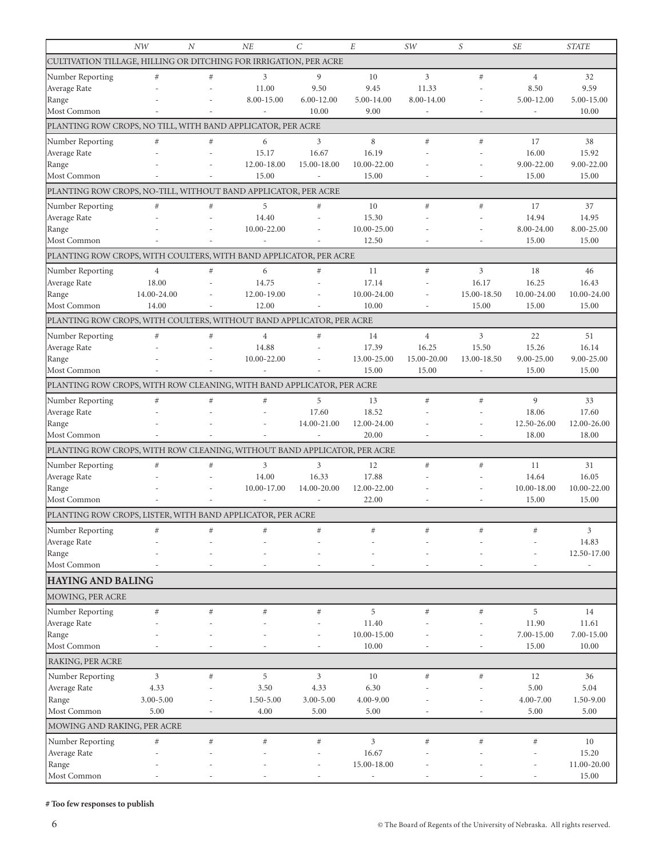|                                                                          | <b>NW</b>      | $\cal N$ | NE                       | $\mathcal{C}_{0}^{(n)}$ | E                    | SW             | S           | <b>SE</b>           | <b>STATE</b>        |
|--------------------------------------------------------------------------|----------------|----------|--------------------------|-------------------------|----------------------|----------------|-------------|---------------------|---------------------|
| CULTIVATION TILLAGE, HILLING OR DITCHING FOR IRRIGATION, PER ACRE        |                |          |                          |                         |                      |                |             |                     |                     |
| Number Reporting                                                         | $\#$           | $\#$     | 3                        | 9                       | 10                   | 3              | #           | $\overline{4}$      | 32                  |
| Average Rate                                                             |                |          | 11.00                    | 9.50                    | 9.45                 | 11.33          |             | 8.50                | 9.59                |
| Range                                                                    |                |          | 8.00-15.00               | 6.00-12.00              | 5.00-14.00           | 8.00-14.00     |             | 5.00-12.00          | 5.00-15.00          |
| Most Common                                                              |                |          | $\overline{\phantom{a}}$ | 10.00                   | 9.00                 |                |             |                     | 10.00               |
| PLANTING ROW CROPS, NO TILL, WITH BAND APPLICATOR, PER ACRE              |                |          |                          |                         |                      |                |             |                     |                     |
| Number Reporting                                                         | $\#$           | $\#$     | 6                        | 3                       | 8                    | $\#$           | #           | 17                  | 38                  |
| Average Rate                                                             |                |          | 15.17                    | 16.67                   | 16.19                |                |             | 16.00               | 15.92               |
| Range                                                                    |                |          | 12.00-18.00              | 15.00-18.00             | 10.00-22.00          |                |             | 9.00-22.00          | 9.00-22.00          |
| Most Common                                                              |                |          | 15.00                    |                         | 15.00                |                |             | 15.00               | 15.00               |
| PLANTING ROW CROPS, NO-TILL, WITHOUT BAND APPLICATOR, PER ACRE           |                |          |                          |                         |                      |                |             |                     |                     |
|                                                                          |                |          |                          |                         |                      |                |             |                     |                     |
| Number Reporting                                                         | $\#$           | $\#$     | 5                        | #                       | 10                   | $\#$           | #           | 17                  | 37                  |
| Average Rate<br>Range                                                    |                |          | 14.40<br>10.00-22.00     |                         | 15.30<br>10.00-25.00 |                |             | 14.94<br>8.00-24.00 | 14.95<br>8.00-25.00 |
| Most Common                                                              |                |          | $\overline{a}$           |                         | 12.50                |                |             | 15.00               | 15.00               |
|                                                                          |                |          |                          |                         |                      |                |             |                     |                     |
| PLANTING ROW CROPS, WITH COULTERS, WITH BAND APPLICATOR, PER ACRE        |                |          |                          |                         |                      |                |             |                     |                     |
| Number Reporting                                                         | $\overline{4}$ | #        | 6                        | #                       | 11                   | #              | 3           | 18                  | 46                  |
| Average Rate                                                             | 18.00          |          | 14.75                    |                         | 17.14                |                | 16.17       | 16.25               | 16.43               |
| Range                                                                    | 14.00-24.00    |          | 12.00-19.00              |                         | 10.00-24.00          |                | 15.00-18.50 | 10.00-24.00         | 10.00-24.00         |
| Most Common                                                              | 14.00          |          | 12.00                    |                         | 10.00                |                | 15.00       | 15.00               | 15.00               |
| PLANTING ROW CROPS, WITH COULTERS, WITHOUT BAND APPLICATOR, PER ACRE     |                |          |                          |                         |                      |                |             |                     |                     |
| Number Reporting                                                         | #              | #        | $\overline{4}$           | #                       | 14                   | $\overline{4}$ | 3           | 22                  | 51                  |
| Average Rate                                                             |                |          | 14.88                    |                         | 17.39                | 16.25          | 15.50       | 15.26               | 16.14               |
| Range                                                                    |                |          | 10.00-22.00              |                         | 13.00-25.00          | 15.00-20.00    | 13.00-18.50 | 9.00-25.00          | 9.00-25.00          |
| Most Common                                                              |                |          | $\overline{a}$           |                         | 15.00                | 15.00          | L,          | 15.00               | 15.00               |
| PLANTING ROW CROPS, WITH ROW CLEANING, WITH BAND APPLICATOR, PER ACRE    |                |          |                          |                         |                      |                |             |                     |                     |
| Number Reporting                                                         | #              | #        | #                        | 5                       | 13                   | $\#$           | #           | 9                   | 33                  |
| Average Rate                                                             |                |          |                          | 17.60                   | 18.52                |                |             | 18.06               | 17.60               |
| Range                                                                    |                |          |                          | 14.00-21.00             | 12.00-24.00          |                |             | 12.50-26.00         | 12.00-26.00         |
| Most Common                                                              |                |          |                          |                         | 20.00                |                |             | 18.00               | 18.00               |
| PLANTING ROW CROPS, WITH ROW CLEANING, WITHOUT BAND APPLICATOR, PER ACRE |                |          |                          |                         |                      |                |             |                     |                     |
| Number Reporting                                                         | #              | $\#$     | 3                        | $\mathfrak{Z}$          | 12                   | $\#$           | #           | 11                  | 31                  |
| Average Rate                                                             |                |          | 14.00                    | 16.33                   | 17.88                |                |             | 14.64               | 16.05               |
| Range                                                                    |                |          | 10.00-17.00              | 14.00-20.00             | 12.00-22.00          |                |             | 10.00-18.00         | 10.00-22.00         |
| Most Common                                                              |                |          |                          |                         | 22.00                |                | ٠           | 15.00               | 15.00               |
| PLANTING ROW CROPS, LISTER, WITH BAND APPLICATOR, PER ACRE               |                |          |                          |                         |                      |                |             |                     |                     |
|                                                                          |                |          |                          |                         |                      |                |             |                     |                     |
| Number Reporting<br>Average Rate                                         | #              | #        | #                        | #                       | #                    | #              | #           | $^{\#}$             | 3<br>14.83          |
| Range                                                                    |                |          |                          |                         |                      |                |             |                     | 12.50-17.00         |
| Most Common                                                              |                |          |                          |                         |                      |                |             |                     |                     |
|                                                                          |                |          |                          |                         |                      |                |             |                     |                     |
| <b>HAYING AND BALING</b>                                                 |                |          |                          |                         |                      |                |             |                     |                     |
| MOWING, PER ACRE                                                         |                |          |                          |                         |                      |                |             |                     |                     |
| Number Reporting                                                         | $\#$           | $\#$     | $\#$                     | $\#$                    | 5                    | $\#$           | $\#$        | 5                   | 14                  |
| Average Rate                                                             |                |          |                          |                         | 11.40                |                |             | 11.90               | 11.61               |
| Range                                                                    |                |          |                          |                         | 10.00-15.00          |                |             | 7.00-15.00          | 7.00-15.00          |
| Most Common                                                              |                |          |                          |                         | 10.00                |                |             | 15.00               | 10.00               |
| RAKING, PER ACRE                                                         |                |          |                          |                         |                      |                |             |                     |                     |
| Number Reporting                                                         | 3              | #        | 5                        | $\mathfrak{Z}$          | 10                   | $\#$           | $\#$        | 12                  | 36                  |
| Average Rate                                                             | 4.33           |          | 3.50                     | 4.33                    | 6.30                 |                |             | 5.00                | 5.04                |
| Range                                                                    | 3.00-5.00      |          | 1.50-5.00                | 3.00-5.00               | 4.00-9.00            |                |             | 4.00-7.00           | 1.50-9.00           |
| Most Common                                                              | 5.00           |          | 4.00                     | 5.00                    | 5.00                 |                |             | 5.00                | 5.00                |
| MOWING AND RAKING, PER ACRE                                              |                |          |                          |                         |                      |                |             |                     |                     |
| Number Reporting                                                         | $\#$           | $\#$     | $\#$                     | $\#$                    | $\mathfrak{Z}$       | $\#$           | $\#$        | $\#$                | $10\,$              |
| Average Rate                                                             |                |          |                          |                         | 16.67                |                |             |                     | 15.20               |
| Range                                                                    |                |          |                          |                         | 15.00-18.00          |                |             |                     | 11.00-20.00         |
| Most Common                                                              |                |          |                          | ٠                       |                      |                |             |                     | 15.00               |
|                                                                          |                |          |                          |                         |                      |                |             |                     |                     |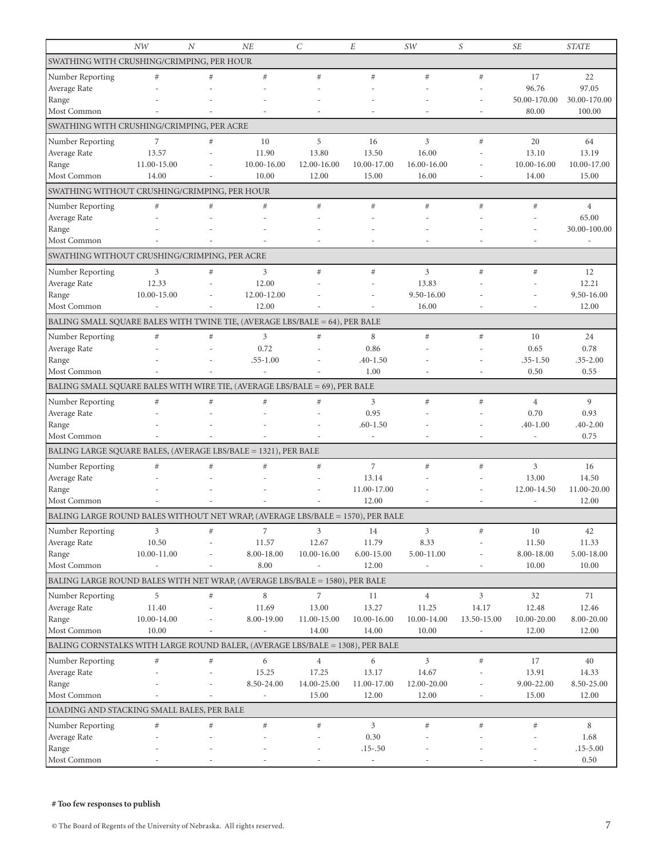|                                                                                | NW             | $\boldsymbol{N}$ | NE               | $\mathcal{C}_{0}^{2}$ | $\cal E$       | SW             | S              | <b>SE</b>      | <b>STATE</b>   |
|--------------------------------------------------------------------------------|----------------|------------------|------------------|-----------------------|----------------|----------------|----------------|----------------|----------------|
| SWATHING WITH CRUSHING/CRIMPING, PER HOUR                                      |                |                  |                  |                       |                |                |                |                |                |
| Number Reporting                                                               | $\#$           | #                | #                | #                     | #              | $\#$           | #              | 17             | 22             |
| Average Rate                                                                   |                |                  |                  |                       |                |                |                | 96.76          | 97.05          |
| Range                                                                          |                |                  |                  |                       |                |                |                | 50.00-170.00   | 30.00-170.00   |
| Most Common                                                                    |                |                  |                  |                       |                |                |                | 80.00          | 100.00         |
| SWATHING WITH CRUSHING/CRIMPING, PER ACRE                                      |                |                  |                  |                       |                |                |                |                |                |
| Number Reporting                                                               | $\overline{7}$ | #                | 10               | 5                     | 16             | 3              | #              | 20             | 64             |
| Average Rate                                                                   | 13.57          |                  | 11.90            | 13.80                 | 13.50          | 16.00          |                | 13.10          | 13.19          |
| Range                                                                          | 11.00-15.00    |                  | 10.00-16.00      | 12.00-16.00           | 10.00-17.00    | 16.00-16.00    |                | 10.00-16.00    | 10.00-17.00    |
| Most Common                                                                    | 14.00          |                  | 10.00            | 12.00                 | 15.00          | 16.00          |                | 14.00          | 15.00          |
| SWATHING WITHOUT CRUSHING/CRIMPING, PER HOUR                                   |                |                  |                  |                       |                |                |                |                |                |
| Number Reporting                                                               | $\#$           | #                | #                | #                     | $\#$           | $\#$           | #              | $\#$           | $\overline{4}$ |
| Average Rate                                                                   |                |                  |                  |                       |                |                |                |                | 65.00          |
| Range                                                                          |                |                  |                  |                       |                |                |                |                | 30.00-100.00   |
| Most Common                                                                    |                |                  |                  |                       |                |                |                |                |                |
| SWATHING WITHOUT CRUSHING/CRIMPING, PER ACRE                                   |                |                  |                  |                       |                |                |                |                |                |
| Number Reporting                                                               | 3              | #                | $\mathfrak{Z}$   | #                     | $\#$           | $\mathfrak{Z}$ | #              | $\#$           | 12             |
| Average Rate                                                                   | 12.33          |                  | 12.00            |                       |                | 13.83          |                |                | 12.21          |
| Range                                                                          | 10.00-15.00    |                  | 12.00-12.00      |                       |                | 9.50-16.00     |                |                | 9.50-16.00     |
| Most Common                                                                    |                |                  | 12.00            |                       |                | 16.00          |                |                | 12.00          |
| BALING SMALL SQUARE BALES WITH TWINE TIE, (AVERAGE LBS/BALE = 64), PER BALE    |                |                  |                  |                       |                |                |                |                |                |
| Number Reporting                                                               | $\#$           | $\#$             | $\mathfrak{Z}$   | $\#$                  | 8              | $\#$           | $\#$           | 10             | 24             |
| Average Rate                                                                   |                |                  | 0.72             |                       | 0.86           |                |                | 0.65           | 0.78           |
| Range                                                                          |                |                  | $.55 - 1.00$     |                       | $.40 - 1.50$   |                |                | $.35 - 1.50$   | $.35 - 2.00$   |
| Most Common                                                                    |                |                  |                  |                       | 1.00           |                |                | 0.50           | 0.55           |
| BALING SMALL SQUARE BALES WITH WIRE TIE, (AVERAGE LBS/BALE = 69), PER BALE     |                |                  |                  |                       |                |                |                |                |                |
| Number Reporting                                                               | $\#$           | #                | #                | #                     | $\mathfrak{Z}$ | $\#$           | #              | $\overline{4}$ | 9              |
| Average Rate                                                                   |                |                  |                  |                       | 0.95           |                |                | 0.70           | 0.93           |
| Range                                                                          |                |                  |                  |                       | $.60 - 1.50$   |                |                | $.40 - 1.00$   | $.40 - 2.00$   |
| Most Common                                                                    |                |                  |                  |                       |                |                |                | L.             | 0.75           |
| BALING LARGE SQUARE BALES, (AVERAGE LBS/BALE = 1321), PER BALE                 |                |                  |                  |                       |                |                |                |                |                |
| Number Reporting                                                               | $\#$           | #                | #                | #                     | $\overline{7}$ | $\#$           | $\#$           | 3              | 16             |
| Average Rate                                                                   |                |                  |                  |                       | 13.14          |                |                | 13.00          | 14.50          |
| Range                                                                          |                |                  |                  |                       | 11.00-17.00    |                |                | 12.00-14.50    | 11.00-20.00    |
| Most Common                                                                    |                |                  |                  |                       | 12.00          |                |                |                | 12.00          |
| BALING LARGE ROUND BALES WITHOUT NET WRAP, (AVERAGE LBS/BALE = 1570), PER BALE |                |                  |                  |                       |                |                |                |                |                |
| Number Reporting                                                               | 3              | $\#$             | $\boldsymbol{7}$ | 3                     | 14             | 3              | $\#$           | $10\,$         | 42             |
| Average Rate                                                                   | 10.50          |                  | 11.57            | 12.67                 | 11.79          | 8.33           |                | 11.50          | 11.33          |
| Range                                                                          | 10.00-11.00    |                  | 8.00-18.00       | 10.00-16.00           | $6.00 - 15.00$ | 5.00-11.00     |                | 8.00-18.00     | 5.00-18.00     |
| Most Common                                                                    |                |                  | 8.00             |                       | 12.00          |                |                | 10.00          | 10.00          |
| BALING LARGE ROUND BALES WITH NET WRAP, (AVERAGE LBS/BALE = 1580), PER BALE    |                |                  |                  |                       |                |                |                |                |                |
| Number Reporting                                                               | 5              | $\#$             | 8                | $\overline{7}$        | 11             | $\overline{4}$ | $\mathfrak{Z}$ | 32             | 71             |
| Average Rate                                                                   | 11.40          |                  | 11.69            | 13.00                 | 13.27          | 11.25          | 14.17          | 12.48          | 12.46          |
| Range                                                                          | 10.00-14.00    |                  | 8.00-19.00       | 11.00-15.00           | 10.00-16.00    | 10.00-14.00    | 13.50-15.00    | 10.00-20.00    | 8.00-20.00     |
| Most Common                                                                    | 10.00          |                  |                  | 14.00                 | 14.00          | 10.00          |                | 12.00          | 12.00          |
| BALING CORNSTALKS WITH LARGE ROUND BALER, (AVERAGE LBS/BALE = 1308), PER BALE  |                |                  |                  |                       |                |                |                |                |                |
| Number Reporting                                                               | $\#$           | $\#$             | $\sqrt{6}$       | $\overline{4}$        | 6              | $\mathfrak{Z}$ | $\#$           | 17             | $40\,$         |
| Average Rate                                                                   |                |                  | 15.25            | 17.25                 | 13.17          | 14.67          |                | 13.91          | 14.33          |
| Range                                                                          |                |                  | 8.50-24.00       | 14.00-25.00           | 11.00-17.00    | 12.00-20.00    |                | 9.00-22.00     | 8.50-25.00     |
| Most Common                                                                    |                |                  | $\overline{a}$   | 15.00                 | 12.00          | 12.00          |                | 15.00          | 12.00          |
| LOADING AND STACKING SMALL BALES, PER BALE                                     |                |                  |                  |                       |                |                |                |                |                |
| Number Reporting                                                               | $\#$           | $\#$             | $\#$             | $\#$                  | $\mathfrak{Z}$ | $\#$           | $\#$           | $\#$           | $\,$ 8 $\,$    |
| Average Rate                                                                   |                |                  |                  |                       | 0.30           |                |                |                | 1.68           |
| Range                                                                          |                |                  |                  |                       | $.15-.50$      |                |                |                | $.15 - 5.00$   |
| Most Common                                                                    |                |                  |                  |                       |                |                |                |                | 0.50           |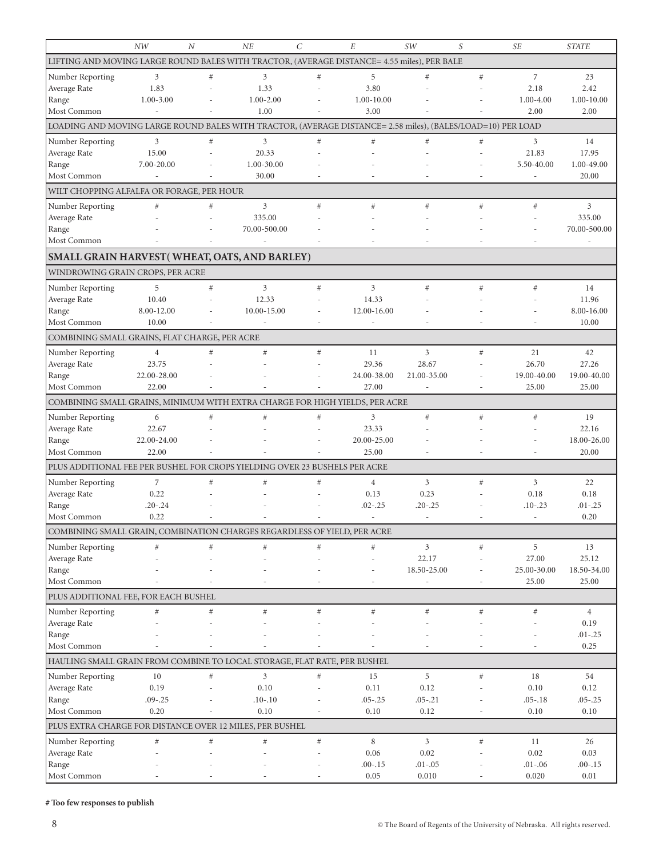|                                                                                                             | NW                       | N    | NE                       | $\overline{C}$ | $\cal E$                 | <i>SW</i>                    | S                            | <b>SE</b>                | <b>STATE</b>        |
|-------------------------------------------------------------------------------------------------------------|--------------------------|------|--------------------------|----------------|--------------------------|------------------------------|------------------------------|--------------------------|---------------------|
| LIFTING AND MOVING LARGE ROUND BALES WITH TRACTOR, (AVERAGE DISTANCE= 4.55 miles), PER BALE                 |                          |      |                          |                |                          |                              |                              |                          |                     |
| Number Reporting                                                                                            | 3                        | #    | 3                        | #              | 5                        | #                            | #                            | $\overline{7}$           | 23                  |
| Average Rate                                                                                                | 1.83                     |      | 1.33                     |                | 3.80                     |                              |                              | 2.18                     | 2.42                |
| Range                                                                                                       | $1.00 - 3.00$            |      | $1.00 - 2.00$            |                | 1.00-10.00               |                              |                              | $1.00 - 4.00$            | 1.00-10.00          |
| Most Common                                                                                                 | $\sim$                   |      | 1.00                     |                | 3.00                     |                              |                              | 2.00                     | 2.00                |
| LOADING AND MOVING LARGE ROUND BALES WITH TRACTOR, (AVERAGE DISTANCE= 2.58 miles), (BALES/LOAD=10) PER LOAD |                          |      |                          |                |                          |                              |                              |                          |                     |
| Number Reporting                                                                                            | 3                        | #    | 3                        | #              | $#$                      | $\#$                         | #                            | 3                        | 14                  |
| Average Rate                                                                                                | 15.00                    |      | 20.33                    |                |                          |                              |                              | 21.83                    | 17.95               |
| Range                                                                                                       | 7.00-20.00               |      | 1.00-30.00               |                |                          |                              |                              | 5.50-40.00               | 1.00-49.00          |
| Most Common                                                                                                 | $\overline{\phantom{a}}$ |      | 30.00                    |                |                          |                              |                              | $\overline{\phantom{a}}$ | 20.00               |
| WILT CHOPPING ALFALFA OR FORAGE, PER HOUR                                                                   |                          |      |                          |                |                          |                              |                              |                          |                     |
| Number Reporting                                                                                            | #                        | $\#$ | $\mathfrak{Z}$           | #              | $\#$                     | #                            | #                            | #                        | 3                   |
| Average Rate                                                                                                |                          |      | 335.00                   |                |                          |                              |                              |                          | 335.00              |
| Range                                                                                                       |                          |      | 70.00-500.00             |                |                          |                              |                              |                          | 70.00-500.00        |
| Most Common                                                                                                 |                          |      |                          |                |                          |                              |                              |                          |                     |
| SMALL GRAIN HARVEST(WHEAT, OATS, AND BARLEY)                                                                |                          |      |                          |                |                          |                              |                              |                          |                     |
| WINDROWING GRAIN CROPS, PER ACRE                                                                            |                          |      |                          |                |                          |                              |                              |                          |                     |
| Number Reporting                                                                                            | 5                        | #    | 3                        | $#$            | $\mathfrak{Z}$           | #                            | #                            | $\#$                     | 14                  |
| Average Rate                                                                                                | 10.40                    |      | 12.33                    |                | 14.33                    |                              |                              |                          | 11.96               |
| Range                                                                                                       | 8.00-12.00               |      | 10.00-15.00              |                | 12.00-16.00              |                              |                              |                          | 8.00-16.00          |
| Most Common                                                                                                 | 10.00                    |      | $\overline{\phantom{a}}$ | ٠              | $\sim$                   |                              | ÷,                           |                          | 10.00               |
| COMBINING SMALL GRAINS, FLAT CHARGE, PER ACRE                                                               |                          |      |                          |                |                          |                              |                              |                          |                     |
| Number Reporting                                                                                            | $\overline{4}$           | #    | #                        | #              | 11                       | 3                            | #                            | 21                       | 42                  |
| Average Rate                                                                                                | 23.75                    |      |                          |                | 29.36                    | 28.67                        |                              | 26.70                    | 27.26               |
| Range                                                                                                       | 22.00-28.00              |      |                          |                | 24.00-38.00              | 21.00-35.00                  |                              | 19.00-40.00              | 19.00-40.00         |
| Most Common                                                                                                 | 22.00                    |      |                          |                | 27.00                    | $\overline{\phantom{a}}$     | $\overline{a}$               | 25.00                    | 25.00               |
| COMBINING SMALL GRAINS, MINIMUM WITH EXTRA CHARGE FOR HIGH YIELDS, PER ACRE                                 |                          |      |                          |                |                          |                              |                              |                          |                     |
| Number Reporting                                                                                            | 6                        | #    | #                        | $#$            | $\mathfrak{Z}$           | #                            | #                            | $\#$                     | 19                  |
| Average Rate                                                                                                | 22.67                    |      |                          |                | 23.33                    |                              |                              |                          | 22.16               |
| Range                                                                                                       | 22.00-24.00              |      |                          |                | 20.00-25.00              |                              |                              |                          | 18.00-26.00         |
| Most Common                                                                                                 | 22.00                    |      |                          |                | 25.00                    |                              |                              |                          | 20.00               |
| PLUS ADDITIONAL FEE PER BUSHEL FOR CROPS YIELDING OVER 23 BUSHELS PER ACRE                                  |                          |      |                          |                |                          |                              |                              |                          |                     |
| Number Reporting                                                                                            | $\overline{7}$           | #    | #                        | #              | $\overline{4}$           | 3                            | #                            | $\overline{3}$           | 22                  |
| Average Rate                                                                                                | 0.22                     |      |                          |                | 0.13                     | 0.23                         |                              | 0.18                     | 0.18                |
| Range                                                                                                       | $.20 - .24$              |      |                          |                | $.02 - .25$              | $.20 - .25$                  |                              | $.10 - .23$              | $.01 - .25$         |
| Most Common                                                                                                 | 0.22                     |      |                          |                | $\overline{\phantom{a}}$ | $\overline{\phantom{a}}$     |                              | $\overline{\phantom{m}}$ | 0.20                |
| COMBINING SMALL GRAIN, COMBINATION CHARGES REGARDLESS OF YIELD, PER ACRE                                    |                          |      |                          |                |                          |                              |                              |                          |                     |
| Number Reporting                                                                                            | #                        | #    | #                        | $#$            | #                        | $\mathfrak{Z}$               | $\#$                         | 5                        | 13                  |
| Average Rate                                                                                                |                          |      |                          |                | $\overline{\phantom{a}}$ | 22.17                        | $\overline{a}$               | 27.00                    | 25.12               |
| Range                                                                                                       |                          |      |                          |                |                          | 18.50-25.00                  |                              | 25.00-30.00              | 18.50-34.00         |
| Most Common                                                                                                 |                          |      |                          |                |                          | $\qquad \qquad \blacksquare$ | $\qquad \qquad \blacksquare$ | 25.00                    | 25.00               |
| PLUS ADDITIONAL FEE, FOR EACH BUSHEL                                                                        |                          |      |                          |                |                          |                              |                              |                          |                     |
| Number Reporting                                                                                            | $\#$                     | $\#$ | $\#$                     | $\#$           | $#$                      | $\#$                         | $\#$                         | $\#$                     | $\overline{4}$      |
| Average Rate                                                                                                |                          |      |                          |                |                          |                              |                              |                          | 0.19                |
| Range                                                                                                       |                          |      |                          |                |                          |                              |                              |                          | $.01 - .25$         |
| Most Common                                                                                                 |                          |      |                          |                |                          |                              |                              | $\overline{\phantom{a}}$ | 0.25                |
| HAULING SMALL GRAIN FROM COMBINE TO LOCAL STORAGE, FLAT RATE, PER BUSHEL                                    |                          |      |                          |                |                          |                              |                              |                          |                     |
| Number Reporting                                                                                            | 10                       | $\#$ | 3                        | $\#$           | 15                       | 5                            | $\#$                         | 18                       | 54                  |
| Average Rate                                                                                                | 0.19                     |      | 0.10                     |                | 0.11                     | 0.12                         |                              | 0.10                     | 0.12                |
| Range                                                                                                       | $.09 - .25$              |      | $.10 - .10$              |                | $.05 - .25$              | $.05 - .21$                  |                              | $.05 - .18$              | $.05 - .25$         |
| Most Common                                                                                                 | 0.20                     |      | 0.10                     |                | 0.10                     | 0.12                         | $\overline{a}$               | 0.10                     | 0.10                |
| PLUS EXTRA CHARGE FOR DISTANCE OVER 12 MILES, PER BUSHEL                                                    |                          |      |                          |                |                          |                              |                              |                          |                     |
| Number Reporting                                                                                            | $\#$                     | $\#$ | $\#$                     | $\#$           | 8                        | 3                            | $\#$                         | 11                       | 26                  |
| Average Rate                                                                                                |                          |      |                          |                | 0.06                     | 0.02                         |                              | 0.02                     | 0.03                |
| Range<br>Most Common                                                                                        |                          |      |                          |                | $.00 - .15$<br>0.05      | $.01 - .05$<br>0.010         |                              | $.01 - .06$<br>0.020     | $.00 - .15$<br>0.01 |
|                                                                                                             |                          |      |                          |                |                          |                              |                              |                          |                     |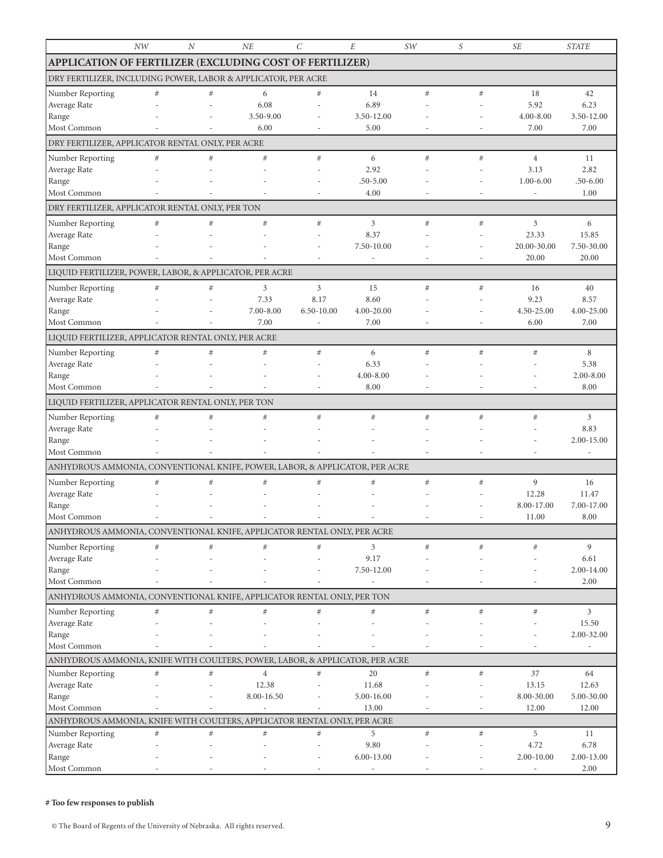|                                                                              | NW   | N    | NE                  | С                        | $\cal E$                               | SW   | S                        | <b>SE</b>            | <b>STATE</b>             |  |
|------------------------------------------------------------------------------|------|------|---------------------|--------------------------|----------------------------------------|------|--------------------------|----------------------|--------------------------|--|
| <b>APPLICATION OF FERTILIZER (EXCLUDING COST OF FERTILIZER)</b>              |      |      |                     |                          |                                        |      |                          |                      |                          |  |
| DRY FERTILIZER, INCLUDING POWER, LABOR & APPLICATOR, PER ACRE                |      |      |                     |                          |                                        |      |                          |                      |                          |  |
| Number Reporting                                                             | $\#$ | $\#$ | 6                   | $\#$                     | 14                                     | $\#$ | $\#$                     | 18                   | 42                       |  |
| Average Rate                                                                 |      |      | 6.08                |                          | 6.89                                   |      |                          | 5.92                 | 6.23                     |  |
| Range                                                                        |      |      | 3.50-9.00           |                          | 3.50-12.00                             |      |                          | 4.00-8.00            | 3.50-12.00               |  |
| Most Common                                                                  |      |      | 6.00                |                          | 5.00                                   |      |                          | 7.00                 | 7.00                     |  |
| DRY FERTILIZER, APPLICATOR RENTAL ONLY, PER ACRE                             |      |      |                     |                          |                                        |      |                          |                      |                          |  |
| Number Reporting                                                             | #    | #    | $\#$                | #                        | 6                                      | $\#$ | $\#$                     | $\overline{4}$       | 11                       |  |
| Average Rate                                                                 |      |      |                     |                          | 2.92                                   |      |                          | 3.13                 | 2.82                     |  |
| Range                                                                        |      |      |                     |                          | $.50 - 5.00$                           |      |                          | $1.00 - 6.00$        | $.50 - 6.00$             |  |
| Most Common                                                                  |      |      |                     |                          | 4.00                                   |      | $\overline{\phantom{a}}$ | L,                   | 1.00                     |  |
| DRY FERTILIZER, APPLICATOR RENTAL ONLY, PER TON                              |      |      |                     |                          |                                        |      |                          |                      |                          |  |
| Number Reporting                                                             | $\#$ | #    | $\#$                | #                        | 3                                      | $\#$ | $\#$                     | 3                    | 6                        |  |
| Average Rate                                                                 |      |      |                     |                          | 8.37                                   |      |                          | 23.33                | 15.85                    |  |
| Range<br>Most Common                                                         |      |      |                     | $\overline{\phantom{m}}$ | 7.50-10.00<br>$\overline{\phantom{a}}$ | ۰    | $\overline{a}$           | 20.00-30.00<br>20.00 | 7.50-30.00<br>20.00      |  |
| LIQUID FERTILIZER, POWER, LABOR, & APPLICATOR, PER ACRE                      |      |      |                     |                          |                                        |      |                          |                      |                          |  |
|                                                                              |      |      |                     |                          |                                        |      |                          |                      |                          |  |
| Number Reporting<br>Average Rate                                             | $\#$ | $\#$ | 3<br>7.33           | 3<br>8.17                | 15<br>8.60                             | $\#$ | $\#$                     | 16<br>9.23           | 40<br>8.57               |  |
| Range                                                                        |      |      | 7.00-8.00           | 6.50-10.00               | 4.00-20.00                             |      |                          | 4.50-25.00           | 4.00-25.00               |  |
| Most Common                                                                  |      |      | 7.00                | $\overline{\phantom{a}}$ | 7.00                                   |      | $\overline{a}$           | 6.00                 | 7.00                     |  |
| LIQUID FERTILIZER, APPLICATOR RENTAL ONLY, PER ACRE                          |      |      |                     |                          |                                        |      |                          |                      |                          |  |
| Number Reporting                                                             | $\#$ | #    | #                   | #                        | 6                                      | #    | #                        | #                    | $\,8\,$                  |  |
| Average Rate                                                                 |      |      |                     |                          | 6.33                                   |      |                          |                      | 5.38                     |  |
| Range                                                                        |      |      |                     |                          | 4.00-8.00                              |      |                          |                      | $2.00 - 8.00$            |  |
| Most Common                                                                  |      |      |                     |                          | 8.00                                   |      |                          |                      | 8.00                     |  |
| LIQUID FERTILIZER, APPLICATOR RENTAL ONLY, PER TON                           |      |      |                     |                          |                                        |      |                          |                      |                          |  |
| Number Reporting                                                             | $\#$ | #    | #                   | #                        | $\#$                                   | $\#$ | #                        | #                    | 3                        |  |
| Average Rate                                                                 |      |      |                     |                          |                                        |      |                          |                      | 8.83                     |  |
| Range                                                                        |      |      |                     |                          |                                        |      |                          |                      | 2.00-15.00               |  |
| Most Common                                                                  |      |      |                     |                          |                                        |      |                          |                      | $\overline{\phantom{a}}$ |  |
| ANHYDROUS AMMONIA, CONVENTIONAL KNIFE, POWER, LABOR, & APPLICATOR, PER ACRE  |      |      |                     |                          |                                        |      |                          |                      |                          |  |
| Number Reporting                                                             | #    | #    | #                   | #                        | $\#$                                   | $\#$ | $\#$                     | 9                    | 16                       |  |
| Average Rate                                                                 |      |      |                     |                          |                                        |      |                          | 12.28<br>8.00-17.00  | 11.47<br>7.00-17.00      |  |
| Range<br>Most Common                                                         |      |      |                     |                          |                                        |      |                          | 11.00                | 8.00                     |  |
| ANHYDROUS AMMONIA, CONVENTIONAL KNIFE, APPLICATOR RENTAL ONLY, PER ACRE      |      |      |                     |                          |                                        |      |                          |                      |                          |  |
|                                                                              | #    | #    | #                   | #                        | $\overline{3}$                         | $\#$ | $\#$                     | $\#$                 | 9                        |  |
| Number Reporting<br>Average Rate                                             |      |      |                     |                          | 9.17                                   |      |                          |                      | 6.61                     |  |
| Range                                                                        |      |      |                     |                          | 7.50-12.00                             |      |                          |                      | 2.00-14.00               |  |
| Most Common                                                                  |      |      |                     |                          |                                        |      |                          |                      | 2.00                     |  |
| ANHYDROUS AMMONIA, CONVENTIONAL KNIFE, APPLICATOR RENTAL ONLY, PER TON       |      |      |                     |                          |                                        |      |                          |                      |                          |  |
| Number Reporting                                                             | $\#$ | #    | #                   | #                        | #                                      | $\#$ | $\#$                     | $\#$                 | 3                        |  |
| Average Rate                                                                 |      |      |                     |                          |                                        |      |                          |                      | 15.50                    |  |
| Range                                                                        |      |      |                     |                          |                                        |      |                          |                      | 2.00-32.00               |  |
| Most Common                                                                  |      |      |                     |                          |                                        |      |                          |                      | $\overline{a}$           |  |
| ANHYDROUS AMMONIA, KNIFE WITH COULTERS, POWER, LABOR, & APPLICATOR, PER ACRE |      |      |                     |                          |                                        |      |                          |                      |                          |  |
| Number Reporting                                                             | $\#$ | $\#$ | $\,4$               | $\#$                     | 20                                     | $\#$ | $\#$                     | 37                   | 64                       |  |
| Average Rate<br>Range                                                        |      |      | 12.38<br>8.00-16.50 |                          | 11.68<br>5.00-16.00                    |      |                          | 13.15<br>8.00-30.00  | 12.63<br>5.00-30.00      |  |
| Most Common                                                                  |      |      |                     |                          | 13.00                                  |      |                          | 12.00                | 12.00                    |  |
| ANHYDROUS AMMONIA, KNIFE WITH COULTERS, APPLICATOR RENTAL ONLY, PER ACRE     |      |      |                     |                          |                                        |      |                          |                      |                          |  |
| Number Reporting                                                             | $\#$ | $\#$ | $\#$                | $\#$                     | 5                                      | $\#$ | $\#$                     | 5                    | 11                       |  |
| Average Rate                                                                 |      |      |                     |                          | 9.80                                   |      |                          | 4.72                 | 6.78                     |  |
| Range                                                                        |      |      |                     |                          | 6.00-13.00                             |      |                          | 2.00-10.00           | 2.00-13.00               |  |
| Most Common                                                                  |      |      |                     |                          |                                        |      |                          |                      | 2.00                     |  |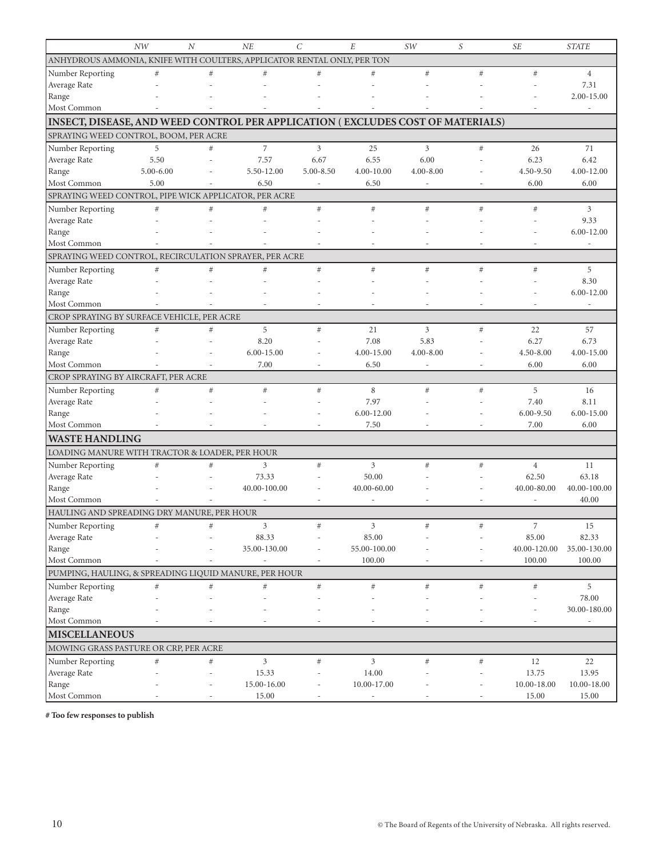|                                                                                | NW            | $\boldsymbol{N}$ | NE             | $\mathcal{C}$  | E                  | SW            | S       | <b>SE</b>                | <b>STATE</b>             |
|--------------------------------------------------------------------------------|---------------|------------------|----------------|----------------|--------------------|---------------|---------|--------------------------|--------------------------|
| ANHYDROUS AMMONIA, KNIFE WITH COULTERS, APPLICATOR RENTAL ONLY, PER TON        |               |                  |                |                |                    |               |         |                          |                          |
| Number Reporting                                                               | #             | $\#$             | #              | #              | #                  | #             | #       | #                        | $\overline{4}$           |
| Average Rate                                                                   |               |                  |                |                |                    |               |         |                          | 7.31                     |
| Range                                                                          |               |                  |                |                |                    |               |         |                          | 2.00-15.00               |
| Most Common                                                                    |               |                  |                |                |                    |               |         |                          |                          |
| INSECT, DISEASE, AND WEED CONTROL PER APPLICATION (EXCLUDES COST OF MATERIALS) |               |                  |                |                |                    |               |         |                          |                          |
| SPRAYING WEED CONTROL, BOOM, PER ACRE                                          |               |                  |                |                |                    |               |         |                          |                          |
| Number Reporting                                                               | 5             | #                | $\overline{7}$ | $\mathfrak{Z}$ | 25                 | 3             | #       | 26                       | 71                       |
| Average Rate                                                                   | 5.50          |                  | 7.57           | 6.67           | 6.55               | 6.00          |         | 6.23                     | 6.42                     |
| Range                                                                          | $5.00 - 6.00$ |                  | 5.50-12.00     | $5.00 - 8.50$  | 4.00-10.00         | $4.00 - 8.00$ |         | 4.50-9.50                | 4.00-12.00               |
| Most Common                                                                    | 5.00          |                  | 6.50           |                | 6.50               |               |         | 6.00                     | 6.00                     |
| SPRAYING WEED CONTROL, PIPE WICK APPLICATOR, PER ACRE                          |               |                  |                |                |                    |               |         |                          |                          |
| Number Reporting                                                               | $\#$          | $\#$             | #              | $\#$           | #                  | #             | #       | #                        | 3                        |
| Average Rate                                                                   |               |                  |                |                |                    |               |         |                          | 9.33                     |
| Range                                                                          |               |                  |                |                |                    |               |         |                          | $6.00 - 12.00$           |
| Most Common                                                                    |               |                  |                |                |                    |               |         | $\overline{\phantom{0}}$ | $\overline{\phantom{a}}$ |
| SPRAYING WEED CONTROL, RECIRCULATION SPRAYER, PER ACRE                         |               |                  |                |                |                    |               |         |                          |                          |
| Number Reporting                                                               | #             | #                | #              | $\#$           | $\#$               | #             | #       | $\#$                     | 5                        |
| Average Rate                                                                   |               |                  |                |                |                    |               |         |                          | 8.30                     |
| Range                                                                          |               |                  |                |                |                    |               |         |                          | 6.00-12.00               |
| Most Common                                                                    |               |                  |                |                |                    |               |         |                          |                          |
| CROP SPRAYING BY SURFACE VEHICLE, PER ACRE                                     |               |                  |                |                |                    |               |         |                          |                          |
| Number Reporting                                                               | #             | $\#$             | 5              | $\#$           | 21                 | 3             | #       | 22                       | 57                       |
| Average Rate                                                                   |               |                  | 8.20           |                | 7.08               | 5.83          |         | 6.27                     | 6.73                     |
| Range                                                                          |               |                  | $6.00 - 15.00$ |                | 4.00-15.00         | $4.00 - 8.00$ |         | 4.50-8.00                | 4.00-15.00               |
| Most Common                                                                    |               |                  | 7.00           |                | 6.50               | ٠             |         | 6.00                     | 6.00                     |
| CROP SPRAYING BY AIRCRAFT, PER ACRE                                            |               |                  |                |                |                    |               |         |                          |                          |
| Number Reporting                                                               | #             | $\#$             | #              | $\#$           | 8                  | #             | #       | 5                        | 16                       |
| Average Rate<br>Range                                                          |               |                  |                |                | 7.97<br>6.00-12.00 |               |         | 7.40<br>$6.00 - 9.50$    | 8.11<br>$6.00 - 15.00$   |
| Most Common                                                                    |               |                  |                |                | 7.50               |               |         | 7.00                     | 6.00                     |
| <b>WASTE HANDLING</b>                                                          |               |                  |                |                |                    |               |         |                          |                          |
|                                                                                |               |                  |                |                |                    |               |         |                          |                          |
| LOADING MANURE WITH TRACTOR & LOADER, PER HOUR                                 | #             | #                | 3              | $#$            | $\mathfrak{Z}$     | $\#$          | $\#$    | $\overline{4}$           |                          |
| Number Reporting<br>Average Rate                                               |               |                  | 73.33          |                | 50.00              |               |         | 62.50                    | 11<br>63.18              |
| Range                                                                          |               |                  | 40.00-100.00   |                | 40.00-60.00        |               |         | 40.00-80.00              | 40.00-100.00             |
| Most Common                                                                    |               |                  |                |                |                    |               |         |                          | 40.00                    |
| HAULING AND SPREADING DRY MANURE, PER HOUR                                     |               |                  |                |                |                    |               |         |                          |                          |
| Number Reporting                                                               | $\leftarrow$  |                  | $\mathfrak{Z}$ | #              | 3                  | $+$           | #       | $\overline{7}$           | 15                       |
| Average Rate                                                                   |               |                  | 88.33          |                | 85.00              |               |         | 85.00                    | 82.33                    |
| Range                                                                          |               |                  | 35.00-130.00   |                | 55.00-100.00       |               |         | 40.00-120.00             | 35.00-130.00             |
| Most Common                                                                    |               |                  |                |                | 100.00             |               |         | 100.00                   | 100.00                   |
| PUMPING, HAULING, & SPREADING LIQUID MANURE, PER HOUR                          |               |                  |                |                |                    |               |         |                          |                          |
| Number Reporting                                                               | $\#$          | $\#$             | #              | $\#$           | #                  | $\#$          | $_{\#}$ | $\#$                     | 5                        |
| Average Rate                                                                   |               |                  |                |                |                    |               |         |                          | 78.00                    |
| Range                                                                          |               |                  |                |                |                    |               |         |                          | 30.00-180.00             |
| Most Common                                                                    |               |                  |                |                |                    |               |         | $\overline{\phantom{a}}$ | $\overline{a}$           |
| <b>MISCELLANEOUS</b>                                                           |               |                  |                |                |                    |               |         |                          |                          |
| MOWING GRASS PASTURE OR CRP, PER ACRE                                          |               |                  |                |                |                    |               |         |                          |                          |
| Number Reporting                                                               | $\#$          | $\#$             | 3              | $\#$           | $\mathfrak{Z}$     | $\#$          | $\#$    | 12                       | 22                       |
| Average Rate                                                                   |               |                  | 15.33          |                | 14.00              |               |         | 13.75                    | 13.95                    |
| Range                                                                          |               |                  | 15.00-16.00    |                | 10.00-17.00        |               |         | 10.00-18.00              | 10.00-18.00              |
| Most Common                                                                    |               |                  | 15.00          |                |                    |               |         | 15.00                    | 15.00                    |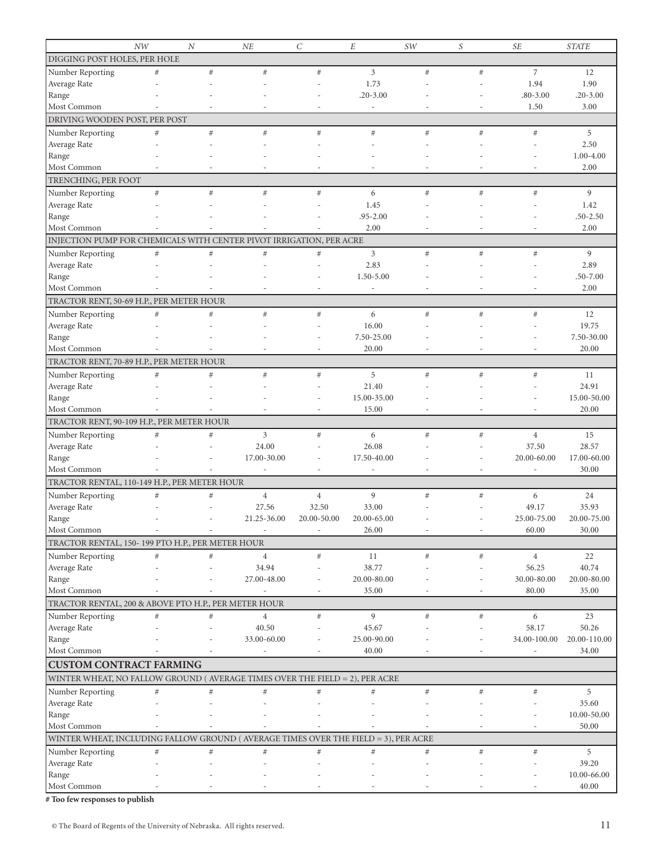|                                                                                    | NW                       | $\overline{N}$           | NE                       | $\mathcal{C}$            | $\cal E$                 | SW                       | S                        | <b>SE</b>                | <b>STATE</b>  |
|------------------------------------------------------------------------------------|--------------------------|--------------------------|--------------------------|--------------------------|--------------------------|--------------------------|--------------------------|--------------------------|---------------|
| DIGGING POST HOLES, PER HOLE                                                       |                          |                          |                          |                          |                          |                          |                          |                          |               |
| Number Reporting                                                                   | $\#$                     | #                        | $\#$                     | $#$                      | 3                        | $\#$                     | #                        | $\overline{7}$           | 12            |
| Average Rate                                                                       |                          |                          |                          |                          | 1.73                     |                          |                          | 1.94                     | 1.90          |
| Range                                                                              |                          |                          |                          |                          | $.20 - 3.00$             |                          |                          | $.80 - 3.00$             | $.20 - 3.00$  |
| Most Common                                                                        |                          |                          |                          | $\overline{a}$           | $\overline{\phantom{a}}$ |                          | ÷                        | 1.50                     | 3.00          |
| DRIVING WOODEN POST, PER POST                                                      |                          |                          |                          |                          |                          |                          |                          |                          |               |
|                                                                                    |                          |                          |                          |                          |                          |                          |                          |                          |               |
| Number Reporting                                                                   | $\#$                     | $\#$                     | $\#$                     | $#$                      | $#$                      | $\#$                     | #                        | $\#$                     | 5             |
| Average Rate                                                                       |                          |                          |                          |                          |                          |                          |                          |                          | 2.50          |
| Range                                                                              |                          |                          |                          |                          |                          |                          |                          |                          | $1.00 - 4.00$ |
| Most Common                                                                        |                          |                          |                          |                          |                          |                          |                          |                          | 2.00          |
| TRENCHING, PER FOOT                                                                |                          |                          |                          |                          |                          |                          |                          |                          |               |
| Number Reporting                                                                   | $\#$                     | #                        | $\#$                     | $\#$                     | 6                        | $\#$                     | $\#$                     | $\#$                     | 9             |
| Average Rate                                                                       |                          |                          |                          |                          | 1.45                     |                          |                          |                          | 1.42          |
| Range                                                                              |                          |                          |                          |                          | $.95 - 2.00$             |                          |                          |                          | $.50 - 2.50$  |
| Most Common                                                                        |                          |                          |                          |                          | 2.00                     |                          |                          |                          | 2.00          |
| INJECTION PUMP FOR CHEMICALS WITH CENTER PIVOT IRRIGATION, PER ACRE                |                          |                          |                          |                          |                          |                          |                          |                          |               |
| Number Reporting                                                                   | #                        | #                        | $\#$                     | $\#$                     | 3                        | #                        | #                        | $\#$                     | 9             |
| Average Rate                                                                       |                          |                          |                          |                          | 2.83                     |                          |                          |                          | 2.89          |
| Range                                                                              |                          |                          |                          |                          | 1.50-5.00                |                          |                          |                          | $.50 - 7.00$  |
| Most Common                                                                        |                          |                          |                          |                          | $\overline{a}$           |                          |                          |                          | 2.00          |
| TRACTOR RENT, 50-69 H.P., PER METER HOUR                                           |                          |                          |                          |                          |                          |                          |                          |                          |               |
|                                                                                    |                          |                          |                          |                          |                          |                          |                          |                          |               |
| Number Reporting                                                                   | $\#$                     | #                        | $\#$                     | #                        | 6                        | #                        | #                        | $\#$                     | 12            |
| Average Rate                                                                       |                          |                          |                          |                          | 16.00                    |                          |                          |                          | 19.75         |
| Range                                                                              |                          |                          |                          |                          | 7.50-25.00               |                          |                          |                          | 7.50-30.00    |
| Most Common                                                                        |                          |                          | ٠                        | ٠                        | 20.00                    | ٠                        | ٠                        | $\overline{\phantom{a}}$ | 20.00         |
| TRACTOR RENT, 70-89 H.P., PER METER HOUR                                           |                          |                          |                          |                          |                          |                          |                          |                          |               |
| Number Reporting                                                                   | $\#$                     | #                        | $\#$                     | #                        | 5                        | $\#$                     | #                        | $\#$                     | 11            |
| Average Rate                                                                       |                          |                          |                          |                          | 21.40                    |                          |                          |                          | 24.91         |
| Range                                                                              |                          |                          |                          |                          | 15.00-35.00              |                          |                          |                          | 15.00-50.00   |
| Most Common                                                                        |                          |                          |                          |                          | 15.00                    |                          |                          |                          | 20.00         |
| TRACTOR RENT, 90-109 H.P., PER METER HOUR                                          |                          |                          |                          |                          |                          |                          |                          |                          |               |
| Number Reporting                                                                   | #                        | #                        | 3                        | $#$                      | 6                        | #                        | #                        | $\overline{4}$           | 15            |
| Average Rate                                                                       |                          |                          | 24.00                    |                          | 26.08                    |                          |                          | 37.50                    | 28.57         |
| Range                                                                              |                          |                          | 17.00-30.00              |                          | 17.50-40.00              |                          |                          | 20.00-60.00              | 17.00-60.00   |
| Most Common                                                                        |                          |                          |                          | Ĭ.                       |                          |                          | $\overline{a}$           |                          | 30.00         |
| TRACTOR RENTAL, 110-149 H.P., PER METER HOUR                                       |                          |                          |                          |                          |                          |                          |                          |                          |               |
| Number Reporting                                                                   | $\#$                     | $\#$                     | $\overline{4}$           | $\overline{4}$           | 9                        | $\#$                     | $\#$                     | 6                        | 24            |
| Average Rate                                                                       |                          |                          | 27.56                    | 32.50                    | 33.00                    |                          |                          | 49.17                    | 35.93         |
| Range                                                                              |                          |                          | 21.25-36.00              | 20.00-50.00              | 20.00-65.00              |                          |                          | 25.00-75.00              | 20.00-75.00   |
|                                                                                    |                          |                          |                          |                          |                          |                          |                          |                          |               |
| Most Common                                                                        | $\overline{\phantom{a}}$ | $\overline{\phantom{a}}$ | $\overline{\phantom{a}}$ | $\overline{\phantom{a}}$ | 26.00                    | $\overline{\phantom{a}}$ | $\overline{\phantom{a}}$ | 60.00                    | 30.00         |
| TRACTOR RENTAL, 150-199 PTO H.P., PER METER HOUR                                   |                          |                          |                          |                          |                          |                          |                          |                          |               |
| Number Reporting                                                                   | $\#$                     | $\#$                     | $\overline{4}$           | $\#$                     | 11                       | $\#$                     | $\#$                     | $\overline{4}$           | 22            |
| Average Rate                                                                       |                          |                          | 34.94                    |                          | 38.77                    |                          |                          | 56.25                    | 40.74         |
| Range                                                                              |                          |                          | 27.00-48.00              |                          | 20.00-80.00              |                          |                          | 30.00-80.00              | 20.00-80.00   |
| Most Common                                                                        |                          |                          |                          | ۰                        | 35.00                    |                          |                          | 80.00                    | 35.00         |
| TRACTOR RENTAL, 200 & ABOVE PTO H.P., PER METER HOUR                               |                          |                          |                          |                          |                          |                          |                          |                          |               |
| Number Reporting                                                                   | $\#$                     | $\#$                     | $\overline{4}$           | $\#$                     | 9                        | $\#$                     | $\#$                     | 6                        | 23            |
| Average Rate                                                                       |                          |                          | 40.50                    |                          | 45.67                    |                          |                          | 58.17                    | 50.26         |
| Range                                                                              |                          |                          | 33.00-60.00              |                          | 25.00-90.00              |                          |                          | 34.00-100.00             | 20.00-110.00  |
| Most Common                                                                        |                          |                          |                          |                          | 40.00                    |                          |                          |                          | 34.00         |
| <b>CUSTOM CONTRACT FARMING</b>                                                     |                          |                          |                          |                          |                          |                          |                          |                          |               |
|                                                                                    |                          |                          |                          |                          |                          |                          |                          |                          |               |
| WINTER WHEAT, NO FALLOW GROUND (AVERAGE TIMES OVER THE FIELD = 2), PER ACRE        |                          |                          |                          |                          |                          |                          |                          |                          |               |
| Number Reporting                                                                   | $\#$                     | $\#$                     | $\#$                     | $\#$                     | $\#$                     | $\#$                     | $\#$                     | $\#$                     | 5             |
| Average Rate                                                                       |                          |                          |                          |                          |                          |                          |                          |                          | 35.60         |
| Range                                                                              |                          |                          |                          |                          |                          |                          |                          |                          | 10.00-50.00   |
| Most Common                                                                        |                          |                          |                          |                          |                          |                          |                          |                          | 50.00         |
| WINTER WHEAT, INCLUDING FALLOW GROUND (AVERAGE TIMES OVER THE FIELD = 3), PER ACRE |                          |                          |                          |                          |                          |                          |                          |                          |               |
| Number Reporting                                                                   | $\#$                     | $\#$                     | #                        | $\#$                     | $#$                      | $\#$                     | $\#$                     | $\#$                     | 5             |
| Average Rate                                                                       |                          |                          |                          |                          |                          |                          |                          |                          | 39.20         |
| Range                                                                              |                          |                          |                          |                          |                          |                          |                          |                          | 10.00-66.00   |
| Most Common                                                                        |                          |                          |                          |                          |                          |                          |                          |                          | 40.00         |